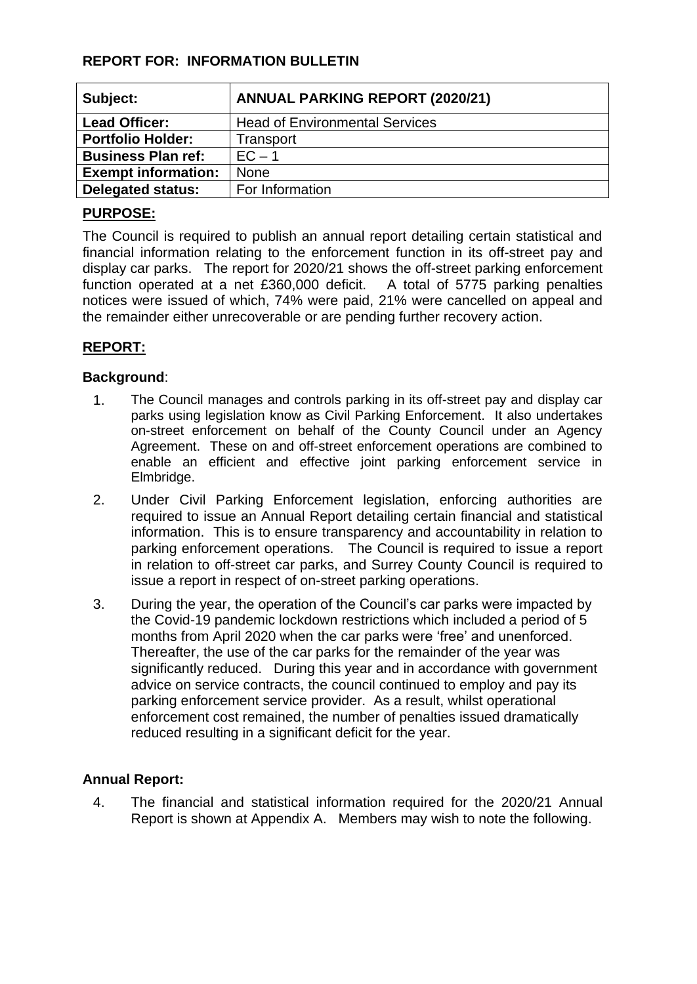## **REPORT FOR: INFORMATION BULLETIN**

| Subject:                   | <b>ANNUAL PARKING REPORT (2020/21)</b> |
|----------------------------|----------------------------------------|
| <b>Lead Officer:</b>       | <b>Head of Environmental Services</b>  |
| <b>Portfolio Holder:</b>   | Transport                              |
| <b>Business Plan ref:</b>  | $EC - 1$                               |
| <b>Exempt information:</b> | <b>None</b>                            |
| <b>Delegated status:</b>   | For Information                        |

## **PURPOSE:**

The Council is required to publish an annual report detailing certain statistical and financial information relating to the enforcement function in its off-street pay and display car parks. The report for 2020/21 shows the off-street parking enforcement function operated at a net £360,000 deficit. A total of 5775 parking penalties notices were issued of which, 74% were paid, 21% were cancelled on appeal and the remainder either unrecoverable or are pending further recovery action.

# **REPORT:**

#### **Background**:

- 1. The Council manages and controls parking in its off-street pay and display car parks using legislation know as Civil Parking Enforcement. It also undertakes on-street enforcement on behalf of the County Council under an Agency Agreement. These on and off-street enforcement operations are combined to enable an efficient and effective joint parking enforcement service in Elmbridge.
- 2. Under Civil Parking Enforcement legislation, enforcing authorities are required to issue an Annual Report detailing certain financial and statistical information. This is to ensure transparency and accountability in relation to parking enforcement operations. The Council is required to issue a report in relation to off-street car parks, and Surrey County Council is required to issue a report in respect of on-street parking operations.
- 3. During the year, the operation of the Council's car parks were impacted by the Covid-19 pandemic lockdown restrictions which included a period of 5 months from April 2020 when the car parks were 'free' and unenforced. Thereafter, the use of the car parks for the remainder of the year was significantly reduced. During this year and in accordance with government advice on service contracts, the council continued to employ and pay its parking enforcement service provider. As a result, whilst operational enforcement cost remained, the number of penalties issued dramatically reduced resulting in a significant deficit for the year.

#### **Annual Report:**

4. The financial and statistical information required for the 2020/21 Annual Report is shown at Appendix A. Members may wish to note the following.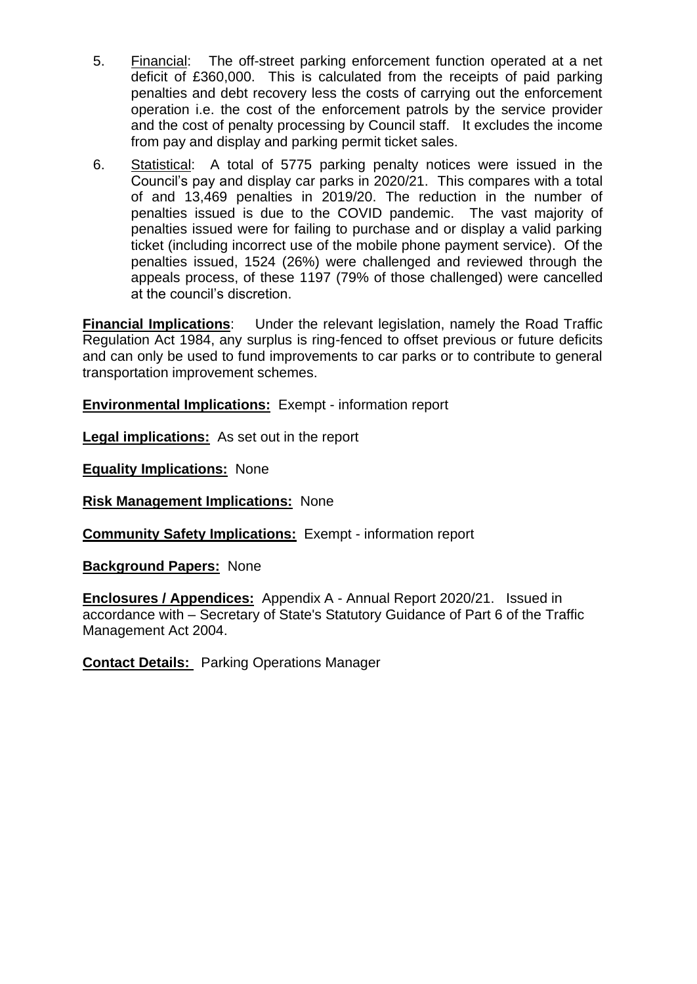- 5. Financial: The off-street parking enforcement function operated at a net deficit of £360,000. This is calculated from the receipts of paid parking penalties and debt recovery less the costs of carrying out the enforcement operation i.e. the cost of the enforcement patrols by the service provider and the cost of penalty processing by Council staff. It excludes the income from pay and display and parking permit ticket sales.
- 6. Statistical: A total of 5775 parking penalty notices were issued in the Council's pay and display car parks in 2020/21. This compares with a total of and 13,469 penalties in 2019/20. The reduction in the number of penalties issued is due to the COVID pandemic. The vast majority of penalties issued were for failing to purchase and or display a valid parking ticket (including incorrect use of the mobile phone payment service). Of the penalties issued, 1524 (26%) were challenged and reviewed through the appeals process, of these 1197 (79% of those challenged) were cancelled at the council's discretion.

**Financial Implications**: Under the relevant legislation, namely the Road Traffic Regulation Act 1984, any surplus is ring-fenced to offset previous or future deficits and can only be used to fund improvements to car parks or to contribute to general transportation improvement schemes.

**Environmental Implications:** Exempt - information report

**Legal implications:** As set out in the report

**Equality Implications:** None

**Risk Management Implications:** None

**Community Safety Implications:** Exempt - information report

**Background Papers:** None

**Enclosures / Appendices:** Appendix A - Annual Report 2020/21. Issued in accordance with – Secretary of State's Statutory Guidance of Part 6 of the Traffic Management Act 2004.

**Contact Details:** Parking Operations Manager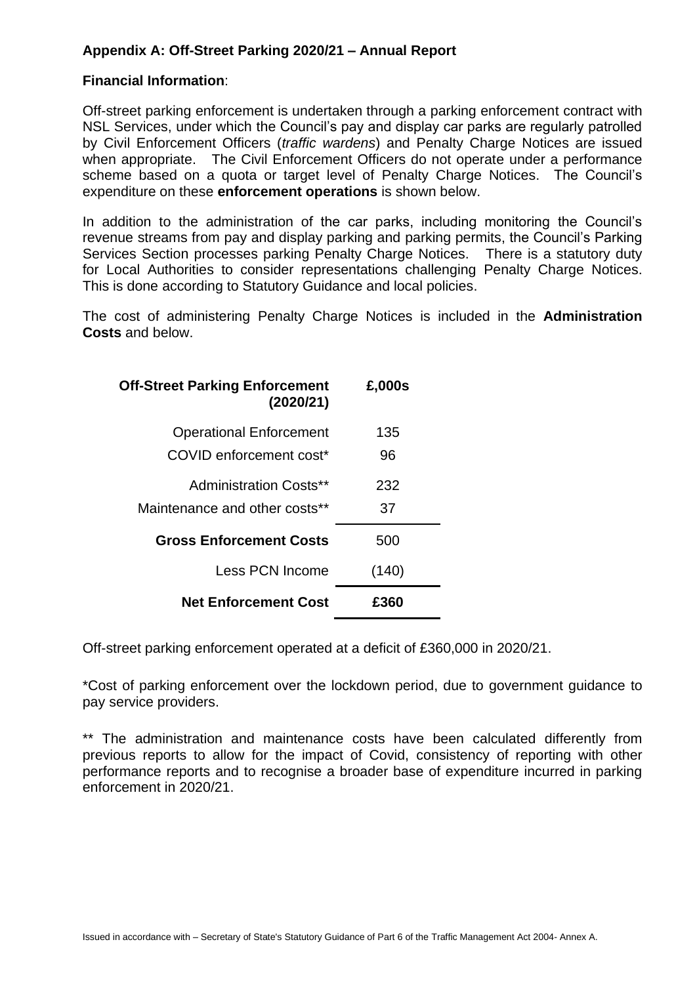### **Appendix A: Off-Street Parking 2020/21 – Annual Report**

#### **Financial Information**:

Off-street parking enforcement is undertaken through a parking enforcement contract with NSL Services, under which the Council's pay and display car parks are regularly patrolled by Civil Enforcement Officers (*traffic wardens*) and Penalty Charge Notices are issued when appropriate. The Civil Enforcement Officers do not operate under a performance scheme based on a quota or target level of Penalty Charge Notices. The Council's expenditure on these **enforcement operations** is shown below.

In addition to the administration of the car parks, including monitoring the Council's revenue streams from pay and display parking and parking permits, the Council's Parking Services Section processes parking Penalty Charge Notices. There is a statutory duty for Local Authorities to consider representations challenging Penalty Charge Notices. This is done according to Statutory Guidance and local policies.

The cost of administering Penalty Charge Notices is included in the **Administration Costs** and below.

| <b>Off-Street Parking Enforcement</b><br>(2020/21)        | £,000s    |
|-----------------------------------------------------------|-----------|
| <b>Operational Enforcement</b><br>COVID enforcement cost* | 135<br>96 |
| Administration Costs**                                    | 232       |
| Maintenance and other costs**                             | 37        |
| <b>Gross Enforcement Costs</b>                            | 500       |
| Less PCN Income                                           | (140)     |
| <b>Net Enforcement Cost</b>                               | £360      |

Off-street parking enforcement operated at a deficit of £360,000 in 2020/21.

\*Cost of parking enforcement over the lockdown period, due to government guidance to pay service providers.

\*\* The administration and maintenance costs have been calculated differently from previous reports to allow for the impact of Covid, consistency of reporting with other performance reports and to recognise a broader base of expenditure incurred in parking enforcement in 2020/21.